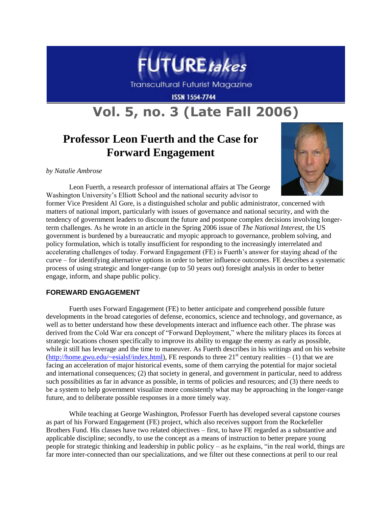

**Transcultural Futurist Magazine** 

**ISSN 1554-7744** 

# **Vol. 5, no. 3 (Late Fall 2006)**

# **Professor Leon Fuerth and the Case for Forward Engagement**

#### *by Natalie Ambrose*



Leon Fuerth, a research professor of international affairs at The George Washington University's Elliott School and the national security advisor to

former Vice President Al Gore, is a distinguished scholar and public administrator, concerned with matters of national import, particularly with issues of governance and national security, and with the tendency of government leaders to discount the future and postpone complex decisions involving longerterm challenges. As he wrote in an article in the Spring 2006 issue of *The National Interest*, the US government is burdened by a bureaucratic and myopic approach to governance, problem solving, and policy formulation, which is totally insufficient for responding to the increasingly interrelated and accelerating challenges of today. Forward Engagement (FE) is Fuerth's answer for staying ahead of the curve – for identifying alternative options in order to better influence outcomes. FE describes a systematic process of using strategic and longer-range (up to 50 years out) foresight analysis in order to better engage, inform, and shape public policy.

# **FOREWARD ENGAGEMENT**

Fuerth uses Forward Engagement (FE) to better anticipate and comprehend possible future developments in the broad categories of defense, economics, science and technology, and governance, as well as to better understand how these developments interact and influence each other. The phrase was derived from the Cold War era concept of "Forward Deployment," where the military places its forces at strategic locations chosen specifically to improve its ability to engage the enemy as early as possible, while it still has leverage and the time to maneuver. As Fuerth describes in his writings and on his website [\(http://home.gwu.edu/~esialsf/index.html\)](http://home.gwu.edu/~esialsf/index.html), FE responds to three  $21^{st}$  century realities – (1) that we are facing an acceleration of major historical events, some of them carrying the potential for major societal and international consequences; (2) that society in general, and government in particular, need to address such possibilities as far in advance as possible, in terms of policies and resources; and (3) there needs to be a system to help government visualize more consistently what may be approaching in the longer-range future, and to deliberate possible responses in a more timely way.

While teaching at George Washington, Professor Fuerth has developed several capstone courses as part of his Forward Engagement (FE) project, which also receives support from the Rockefeller Brothers Fund. His classes have two related objectives – first, to have FE regarded as a substantive and applicable discipline; secondly, to use the concept as a means of instruction to better prepare young people for strategic thinking and leadership in public policy – as he explains, "in the real world, things are far more inter-connected than our specializations, and we filter out these connections at peril to our real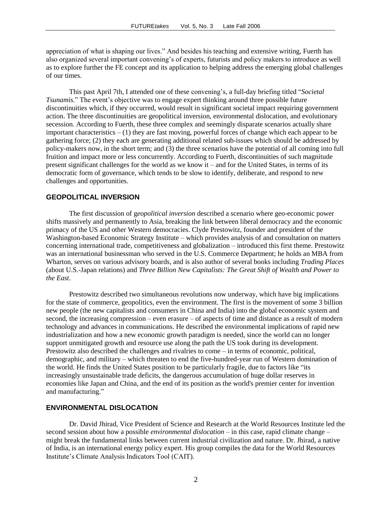appreciation of what is shaping our lives." And besides his teaching and extensive writing, Fuerth has also organized several important convening's of experts, futurists and policy makers to introduce as well as to explore further the FE concept and its application to helping address the emerging global challenges of our times.

This past April 7th, I attended one of these convening's, a full-day briefing titled "*Societal Tsunamis.*" The event's objective was to engage expert thinking around three possible future discontinuities which, if they occurred, would result in significant societal impact requiring government action. The three discontinuities are geopolitical inversion, environmental dislocation, and evolutionary secession. According to Fuerth, these three complex and seemingly disparate scenarios actually share important characteristics – (1) they are fast moving, powerful forces of change which each appear to be gathering force; (2) they each are generating additional related sub-issues which should be addressed by policy-makers now, in the short term; and (3) the three scenarios have the potential of all coming into full fruition and impact more or less concurrently. According to Fuerth, discontinuities of such magnitude present significant challenges for the world as we know it – and for the United States, in terms of its democratic form of governance, which tends to be slow to identify, deliberate, and respond to new challenges and opportunities.

## **GEOPOLITICAL INVERSION**

The first discussion of g*eopolitical inversion* described a scenario where geo-economic power shifts massively and permanently to Asia, breaking the link between liberal democracy and the economic primacy of the US and other Western democracies. Clyde Prestowitz, founder and president of the Washington-based Economic Strategy Institute – which provides analysis of and consultation on matters concerning international trade, competitiveness and globalization – introduced this first theme. Prestowitz was an international businessman who served in the U.S. Commerce Department; he holds an MBA from Wharton, serves on various advisory boards, and is also author of several books including *Trading Places* (about U.S.-Japan relations) and *Three Billion New Capitalists: The Great Shift of Wealth and Power to the East*.

Prestowitz described two simultaneous revolutions now underway, which have big implications for the state of commerce, geopolitics, even the environment. The first is the movement of some 3 billion new people (the new capitalists and consumers in China and India) into the global economic system and second, the increasing compression – even erasure – of aspects of time and distance as a result of modern technology and advances in communications. He described the environmental implications of rapid new industrialization and how a new economic growth paradigm is needed, since the world can no longer support unmitigated growth and resource use along the path the US took during its development. Prestowitz also described the challenges and rivalries to come – in terms of economic, political, demographic, and military – which threaten to end the five-hundred-year run of Western domination of the world. He finds the United States position to be particularly fragile, due to factors like "its increasingly unsustainable trade deficits, the dangerous accumulation of huge dollar reserves in economies like Japan and China, and the end of its position as the world's premier center for invention and manufacturing."

#### **ENVIRONMENTAL DISLOCATION**

Dr. David Jhirad, Vice President of Science and Research at the World Resources Institute led the second session about how a possible *environmental dislocation* – in this case, rapid climate change – might break the fundamental links between current industrial civilization and nature. Dr. Jhirad, a native of India, is an international energy policy expert. His group compiles the data for the World Resources Institute's Climate Analysis Indicators Tool (CAIT).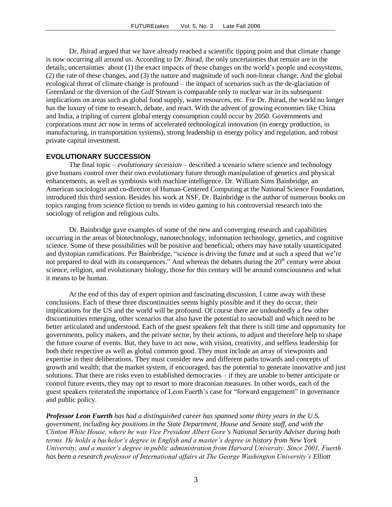Dr. Jhirad argued that we have already reached a scientific tipping point and that climate change is now occurring all around us. According to Dr. Jhirad, the only uncertainties that remain are in the details; uncertainties about (1) the exact impacts of these changes on the world's people and ecosystems, (2) the rate of these changes, and (3) the nature and magnitude of such non-linear change. And the global ecological threat of climate change is profound – the impact of scenarios such as the de-glaciation of Greenland or the diversion of the Gulf Stream is comparable only to nuclear war in its subsequent implications on areas such as global food supply, water resources, etc. For Dr. Jhirad, the world no longer has the luxury of time to research, debate, and react. With the advent of growing economies like China and India, a tripling of current global energy consumption could occur by 2050. Governments and corporations must act now in terms of accelerated technological innovation (in energy production, in manufacturing, in transportation systems), strong leadership in energy policy and regulation, and robust private capital investment.

#### **EVOLUTIONARY SUCCESSION**

The final topic – *evolutionary secession* – described a scenario where science and technology give humans control over their own evolutionary future through manipulation of genetics and physical enhancements, as well as symbiosis with machine intelligence. Dr. William Sims Bainbridge, an American sociologist and co-director of Human-Centered Computing at the National Science Foundation, introduced this third session. Besides his work at NSF, Dr. Bainbridge is the author of numerous books on topics ranging from science fiction to trends in video gaming to his controversial research into the sociology of religion and religious cults.

Dr. Bainbridge gave examples of some of the new and converging research and capabilities occurring in the areas of biotechnology, nanotechnology, information technology, genetics, and cognitive science. Some of these possibilities will be positive and beneficial; others may have totally unanticipated and dystopian ramifications. Per Bainbridge, "science is driving the future and at such a speed that we're not prepared to deal with its consequences." And whereas the debates during the  $20<sup>th</sup>$  century were about science, religion, and evolutionary biology, those for this century will be around consciousness and what it means to be human.

At the end of this day of expert opinion and fascinating discussion, I came away with these conclusions. Each of these three discontinuities seems highly possible and if they do occur, their implications for the US and the world will be profound. Of course there are undoubtedly a few other discontinuities emerging, other scenarios that also have the potential to snowball and which need to be better articulated and understood. Each of the guest speakers felt that there is still time and opportunity for governments, policy makers, and the private sector, by their actions, to adjust and therefore help to shape the future course of events. But, they have to act now, with vision, creativity, and selfless leadership for both their respective as well as global common good. They must include an array of viewpoints and expertise in their deliberations. They must consider new and different paths towards and concepts of growth and wealth; that the market system, if encouraged, has the potential to generate innovative and just solutions. That there are risks even to established democracies – if they are unable to better anticipate or control future events, they may opt to resort to more draconian measures. In other words, each of the guest speakers reiterated the importance of Leon Fuerth's case for "forward engagement" in governance and public policy.

*Professor Leon Fuerth has had a distinguished career has spanned some thirty years in the U.S. government, including key positions in the State Department, House and Senate staff, and with the Clinton White House, where he was Vice President Albert Gore's National Security Adviser during both terms. He holds a bachelor's degree in English and a master's degree in history from New York University, and a master's degree in public administration from Harvard University. Since 2001, Fuerth has been a research professor of International affairs at The George Washington University's Elliott*